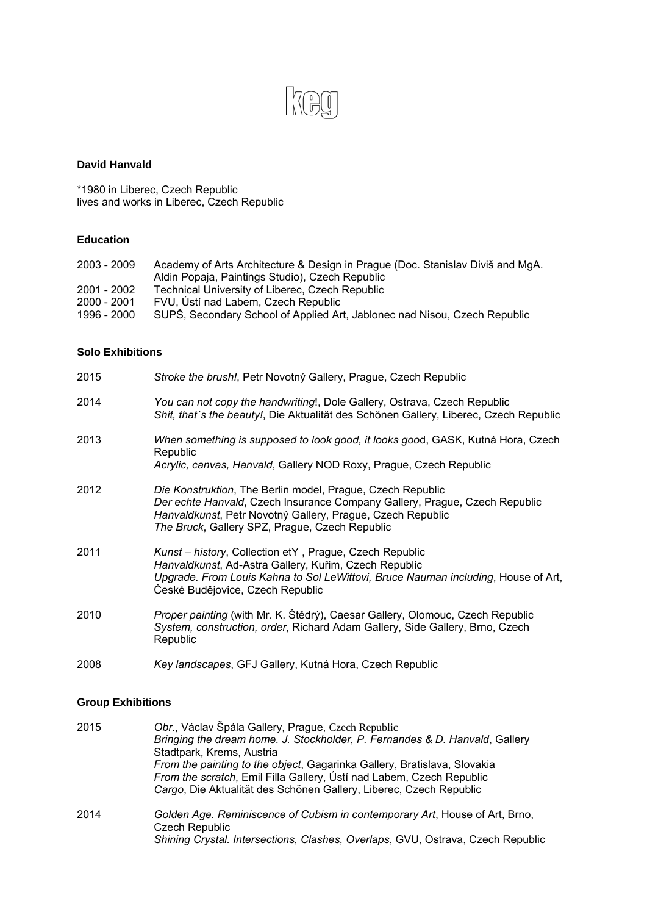

### **David Hanvald**

\*1980 in Liberec, Czech Republic lives and works in Liberec, Czech Republic

# **Education**

| 2003 - 2009 | Academy of Arts Architecture & Design in Prague (Doc. Stanislav Diviš and MgA. |
|-------------|--------------------------------------------------------------------------------|
|             | Aldin Popaja, Paintings Studio), Czech Republic                                |
| 2001 - 2002 | Technical University of Liberec, Czech Republic                                |
| 2000 - 2001 | FVU, Ústí nad Labem, Czech Republic                                            |
| 1996 - 2000 | SUPS, Secondary School of Applied Art, Jablonec nad Nisou, Czech Republic      |

#### **Solo Exhibitions**

| 2015 | Stroke the brush!, Petr Novotný Gallery, Prague, Czech Republic                                                                                                                                                                                          |
|------|----------------------------------------------------------------------------------------------------------------------------------------------------------------------------------------------------------------------------------------------------------|
| 2014 | You can not copy the handwriting!, Dole Gallery, Ostrava, Czech Republic<br>Shit, that's the beauty!, Die Aktualität des Schönen Gallery, Liberec, Czech Republic                                                                                        |
| 2013 | When something is supposed to look good, it looks good, GASK, Kutná Hora, Czech<br>Republic<br>Acrylic, canvas, Hanvald, Gallery NOD Roxy, Prague, Czech Republic                                                                                        |
| 2012 | Die Konstruktion, The Berlin model, Prague, Czech Republic<br>Der echte Hanvald, Czech Insurance Company Gallery, Prague, Czech Republic<br>Hanvaldkunst, Petr Novotný Gallery, Prague, Czech Republic<br>The Bruck, Gallery SPZ, Prague, Czech Republic |
| 2011 | Kunst - history, Collection etY, Prague, Czech Republic<br>Hanvaldkunst, Ad-Astra Gallery, Kuřim, Czech Republic<br>Upgrade. From Louis Kahna to Sol LeWittovi, Bruce Nauman including, House of Art,<br>České Budějovice, Czech Republic                |
| 2010 | Proper painting (with Mr. K. Štědrý), Caesar Gallery, Olomouc, Czech Republic<br>System, construction, order, Richard Adam Gallery, Side Gallery, Brno, Czech<br>Republic                                                                                |
| 2008 | Key landscapes, GFJ Gallery, Kutná Hora, Czech Republic                                                                                                                                                                                                  |

## **Group Exhibitions**

| 2015 | Obr., Václav Špála Gallery, Prague, Czech Republic                                                   |
|------|------------------------------------------------------------------------------------------------------|
|      | Bringing the dream home. J. Stockholder, P. Fernandes & D. Hanvald, Gallery                          |
|      | Stadtpark, Krems, Austria                                                                            |
|      | From the painting to the object, Gagarinka Gallery, Bratislava, Slovakia                             |
|      | From the scratch, Emil Filla Gallery, Ústí nad Labem, Czech Republic                                 |
|      | Cargo, Die Aktualität des Schönen Gallery, Liberec, Czech Republic                                   |
| 2014 | Golden Age. Reminiscence of Cubism in contemporary Art, House of Art, Brno,<br><b>Czech Republic</b> |
|      | Shining Crystal. Intersections, Clashes, Overlaps, GVU, Ostrava, Czech Republic                      |